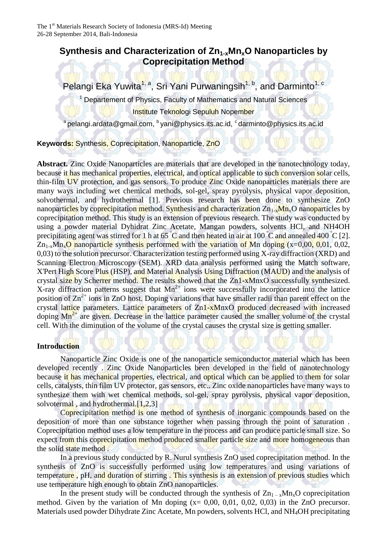# **Synthesis and Characterization of Zn1-xMnxO Nanoparticles by Coprecipitation Method**

Pelangi Eka Yuwita<sup>1, a</sup>, Sri Yani Purwaningsih<sup>1, b</sup>, and Darminto<sup>1, c</sup>

<sup>1</sup> Departement of Physics, Faculty of Mathematics and Natural Sciences Institute Teknologi Sepuluh Nopember

 $^{\rm a}$ pelangi.ardata@gmail.com,  $^{\rm b}$  yani@physics.its.ac.id,  $^{\rm c}$ darminto@physics.its.ac.id

**Keywords:** Synthesis, Coprecipitation, Nanoparticle, ZnO

**Abstract.** Zinc Oxide Nanoparticles are materials that are developed in the nanotechnology today, because it has mechanical properties, electrical, and optical applicable to such conversion solar cells, thin-film UV protection, and gas sensors. To produce Zinc Oxide nanoparticles materials there are many ways including wet chemical methods, sol-gel, spray pyrolysis, physical vapor deposition, solvothermal, and hydrothermal [1]. Previous research has been done to synthesize ZnO nanoparticles by coprecipitation method. Synthesis and characterization  $Zn_1$ <sub>x</sub>Mn<sub>x</sub>O nanoparticles by coprecipitation method. This study is an extension of previous research. The study was conducted by using a powder material Dyhidrat Zinc Acetate, Mangan powders, solvents HCl, and NH4OH precipitating agent was stirred for 1 h at 65  $\degree$ C and then heated in air at 100  $\degree$ C and annealed 400  $\degree$ C [2].  $\rm Zn_{1-x}Mn_{x}O$  nanoparticle synthesis performed with the variation of Mn doping (x=0,00, 0,01, 0,02, 0,03) to the solution precursor. Characterization testing performed using X-ray diffraction (XRD) and Scanning Electron Microscopy (SEM). XRD data analysis performed using the Match software, X'Pert High Score Plus (HSP), and Material Analysis Using Diffraction (MAUD) and the analysis of crystal size by Scherrer method. The results showed that the Zn1-xMnxO successfully synthesized. X-ray diffraction patterns suggest that  $Mn^{2+}$  ions were successfully incorporated into the lattice position of  $\text{Zn}^{2+}$  ions in ZnO host. Doping variations that have smaller radii than parent effect on the crystal lattice parameters. Lattice parameters of Zn1-xMnxO produced decreased with increased doping Mn<sup>2+</sup> are given. Decrease in the lattice parameter caused the smaller volume of the crystal cell. With the diminution of the volume of the crystal causes the crystal size is getting smaller.

## **Introduction**

 Nanoparticle Zinc Oxide is one of the nanoparticle semiconductor material which has been developed recently . Zinc Oxide Nanoparticles been developed in the field of nanotechnology because it has mechanical properties, electrical, and optical which can be applied to them for solar cells, catalysts, thin film UV protector, gas sensors, etc.. Zinc oxide nanoparticles have many ways to synthesize them with wet chemical methods, sol-gel, spray pyrolysis, physical vapor deposition, solvotermal, and hydrothermal.<sup>[1,2,3]</sup>

Coprecipitation method is one method of synthesis of inorganic compounds based on the deposition of more than one substance together when passing through the point of saturation . Coprecipitation method uses a low temperature in the process and can produce particle small size. So expect from this coprecipitation method produced smaller particle size and more homogeneous than the solid state method .

 In a previous study conducted by R. Nurul synthesis ZnO used coprecipitation method. In the synthesis of ZnO is successfully performed using low temperatures and using variations of temperature, pH, and duration of stirring. This synthesis is an extension of previous studies which use temperature high enough to obtain ZnO nanoparticles.

In the present study will be conducted through the synthesis of  $Zn_{1-x}Mn_{x}O$  coprecipitation method. Given by the variation of Mn doping  $(x= 0.00, 0.01, 0.02, 0.03)$  in the ZnO precursor. Materials used powder Dihydrate Zinc Acetate, Mn powders, solvents HCl, and NH4OH precipitating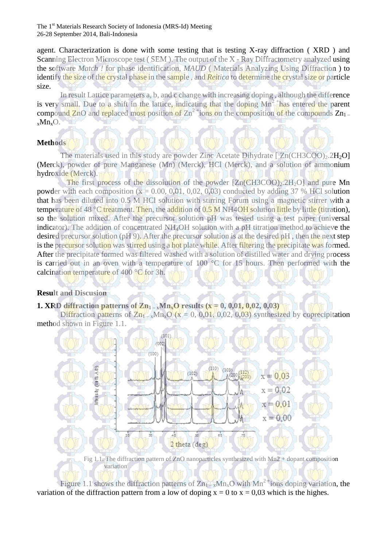agent. Characterization is done with some testing that is testing X-ray diffraction ( XRD ) and Scanning Electron Microscope test (SEM). The output of the X - Ray Diffractometry analyzed using the software *Match !* for phase identification, *MAUD* ( Materials Analyzing Using Diffraction ) to identify the size of the crystal phase in the sample , and *Reitica* to determine the crystal size or particle size.

 In result Lattice parameters a, b, and c change with increasing doping , although the difference is very small. Due to a shift in the lattice, indicating that the doping  $Mn^2$  has entered the parent compound ZnO and replaced most position of  $Zn^2$  tions on the composition of the compounds  $Zn_1$ .  $xMn_xO.$ 

# **Methods**

The materials used in this study are powder Zinc Acetate Dihydrate  $[ Zn(CH3COO)_2.2H_2O ]$ (Merck), powder of pure Manganese (Mn) (Merck), HCl (Merck), and a solution of ammonium hydroxide (Merck).

The first process of the dissolution of the powder  $[Zn(CH3COO)_2.2H_2O]$  and pure Mn powder with each composition  $(x = 0.00, 0.01, 0.02, 0.03)$  conducted by adding 37 % HCl solution that has been diluted into 0.5 M HCl solution with stirring Forum using a magnetic stirrer with a temperature of 48 °C treatment. Then, the addition of 0.5 M NH4OH solution little by little (titration), so the solution mixed. After the precursor solution pH was tested using a test paper (universal indicator). The addition of concentrated NH<sub>4</sub>OH solution with a pH titration method to achieve the desired precursor solution (pH 9). After the precursor solution is at the desired pH, then the next step is the precursor solution was stirred using a hot plate while. After filtering the precipitate was formed. After the precipitate formed was filtered washed with a solution of distilled water and drying process is carried out in an oven with a temperature of 100 °C for 15 hours. Then performed with the calcination temperature of 400 °C for 3h.

#### **Result and Discusion**

### **1. XRD diffraction patterns of**  $Z_{n_1}$  **–**  $_xM_{n_x}O$  **results (** $x = 0, 0, 0, 1, 0, 0, 2, 0, 0, 3$ **)**

Diffraction patterns of  $Zn_1$ ,  $xMn_xO(x = 0, 0,01, 0,02, 0,03)$  synthesized by coprecipitation method shown in Figure 1.1.



Fig 1.1. The diffraction pattern of ZnO nanoparticles synthesized with Mn2 + dopant composition variation

Figure 1.1 shows the diffraction patterns of  $Zn_1 - xMn_xO$  with  $Mn^2$  tions doping variation, the variation of the diffraction pattern from a low of doping  $x = 0$  to  $x = 0.03$  which is the highes.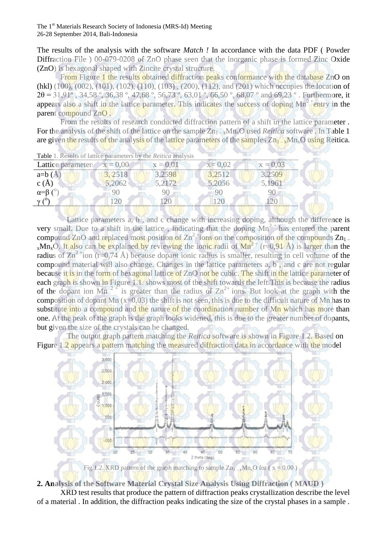The results of the analysis with the software *Match !* In accordance with the data PDF ( Powder Diffraction File ) 00-079-0208 of ZnO phase seen that the inorganic phase is formed Zinc Oxide (ZnO) is hexagonal shaped with Zincite crystal structure.

From Figure 1 the results obtained diffraction peaks conformance with the database ZnO on (hkl) (100), (002), (101), (102), (110), (103) , (200), (112), and (201) which occupies the location of  $2\theta = 31,91^\circ$ ,  $34,58^\circ$ ,  $36,38^\circ$ ,  $47,68^\circ$ ,  $56,73^\circ$ ,  $63,01^\circ$ ,  $66,50^\circ$ ,  $68,07^\circ$  and  $69,23^\circ$ . Furthermore, it appears also a shift in the lattice parameter. This indicates the success of doping  $Mn^2$  entry in the parent compound ZnO .

 From the results of research conducted diffraction pattern of a shift in the lattice parameter . For the analysis of the shift of the lattice on the sample  $Zn_1 - xMn_xO$  used *Reitica* software. In Table 1 are given the results of the analysis of the lattice parameters of the samples  $Zn_1 - xMn_xO$  using Reitica.

| <b>Table</b> 1. Results of lattice parameters by the <i>Reitica</i> analysis |            |            |            |            |  |
|------------------------------------------------------------------------------|------------|------------|------------|------------|--|
| Lattice parameter:                                                           | $x = 0.00$ | $x = 0.01$ | $x = 0.02$ | $x = 0.03$ |  |
| $a=b(A)$                                                                     | 3.2518     | 3,2598     | 3,2512     | 3,2509     |  |
| $c(\AA)$                                                                     | 5,2062     | 5,2172     | 5,2056     | 5,1961     |  |
| $\alpha = \beta$                                                             |            |            |            |            |  |
|                                                                              |            |            |            |            |  |
|                                                                              |            |            |            |            |  |

Table 1. Results of lattice parameters by the *Reitica* analysis

Lattice parameters a, b, and c change with increasing doping, although the difference is very small. Due to a shift in the lattice, indicating that the doping  $Mn^{2+}$  has entered the parent compound ZnO and replaced most position of  $Zn^2$  tions on the composition of the compounds  $Zn_1$ .  $x$ Mn<sub>x</sub>O. It also can be explained by reviewing the ionic radii of Mn<sup>2+</sup> (r=0,91 Å) is larger than the radius of  $\text{Zn}^2$  +ion (r=0,74 Å) because dopant ionic radius is smaller, resulting in cell volume of the compound material will also change. Changes in the lattice parameters a, b , and c are not regular because it is in the form of hexagonal lattice of ZnO not be cubic. The shift in the lattice parameter of each graph is shown in Figure 1.1. shows most of the shift towards the left. This is because the radius of the dopant ion Mn<sup>2+</sup> is greater than the radius of  $Zn^{2+}$  ions. But look at the graph with the composition of dopant Mn  $(x=0,03)$  the shift is not seen, this is due to the difficult nature of Mn has to substitute into a compound and the nature of the coordination number of Mn which has more than one. At the peak of the graph is the graph looks widened, this is due to the greater number of dopants, but given the size of the crystals can be changed.

 The output graph pattern matching the *Reitica* software is shown in Figure 1.2. Based on Figure 1.2 appears a pattern matching the measured diffraction data in accordance with the model



Fig 1.2. XRD pattern of the graph matching to sample  $\text{Zn}_{1-x}\text{Mn}_x\text{O}$  for ( $x = 0.00$ )

**2. Analysis of the Software Material Crystal Size Analysis Using Diffraction ( MAUD )** 

 XRD test results that produce the pattern of diffraction peaks crystallization describe the level of a material . In addition, the diffraction peaks indicating the size of the crystal phases in a sample .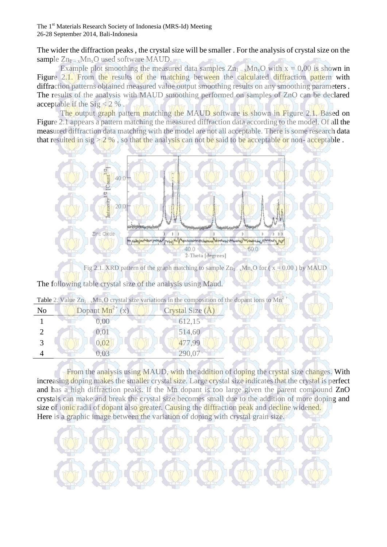The wider the diffraction peaks , the crystal size will be smaller . For the analysis of crystal size on the sample  $Zn_1$  – <sub>x</sub>Mn<sub>x</sub>O used software MAUD.

Example plot smoothing the measured data samples  $Zn_1$ ,  $xMn_xO$  with  $x = 0.00$  is shown in Figure 2.1. From the results of the matching between the calculated diffraction pattern with diffraction patterns obtained measured value output smoothing results on any smoothing parameters. The results of the analysis with MAUD smoothing performed on samples of ZnO can be declared acceptable if the  $Sig < 2 \%$ .

The output graph pattern matching the MAUD software is shown in Figure 2.1. Based on Figure 2.1 appears a pattern matching the measured diffraction data according to the model. Of all the measured diffraction data matching with the model are not all acceptable. There is some research data that resulted in sig  $> 2\%$ , so that the analysis can not be said to be acceptable or non-acceptable.



Fig 2.1. XRD pattern of the graph matching to sample  $Zn_{1-x}Mn_{x}O$  for ( $x = 0.00$ ) by MAUD  $\mathbb{M}$  and  $\mathbb{M}$  and  $\mathbb{M}$  and  $\mathbb{M}$  and  $\mathbb{M}$  and  $\mathbb{M}$  and  $\mathbb{M}$  and  $\mathbb{M}$  and  $\mathbb{M}$  and  $\mathbb{M}$  and  $\mathbb{M}$  and  $\mathbb{M}$  and  $\mathbb{M}$  and  $\mathbb{M}$  and  $\mathbb{M}$  and  $\mathbb{M}$  and  $\mathbb{M}$  and

|                | <b>Table</b> 2. Value $Zn_1$ <sub>-x</sub> Mn <sub>x</sub> O crystal size variations in the composition of the dopant ions to Mn <sup>2</sup> <sup>+</sup> |                  |
|----------------|------------------------------------------------------------------------------------------------------------------------------------------------------------|------------------|
| N <sub>o</sub> | Dopant $Mn^{2+}(x)$                                                                                                                                        | Crystal Size (A) |
|                | 0.00                                                                                                                                                       | 612,15           |
|                | 0,01                                                                                                                                                       | 514,60           |
|                | 0,02                                                                                                                                                       | 477,99           |
|                |                                                                                                                                                            |                  |

From the analysis using MAUD, with the addition of doping the crystal size changes. With increasing doping makes the smaller crystal size. Large crystal size indicates that the crystal is perfect and has a high diffraction peaks. If the Mn dopant is too large given the parent compound ZnO crystals can make and break the crystal size becomes small due to the addition of more doping and size of ionic radii of dopant also greater. Causing the diffraction peak and decline widened. Here is a graphic image between the variation of doping with crystal grain size.

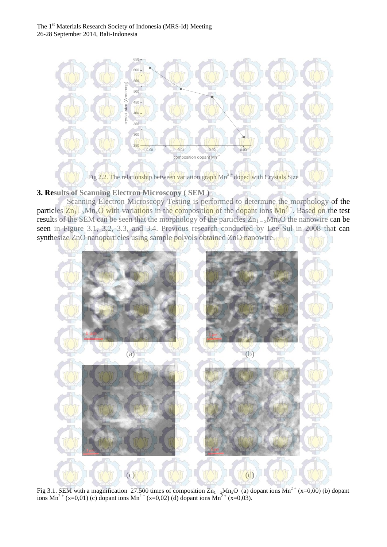

**3. Results of Scanning Electron Microscopy ( SEM )** 

 Scanning Electron Microscopy Testing is performed to determine the morphology of the particles  $Z_{n_1}$  –  $_xM_{n_x}O$  with variations in the composition of the dopant ions  $Mn^2$ <sup>+</sup>. Based on the test results of the SEM can be seen that the morphology of the particles  $Zn_1$  –  $xMn_xO$  the nanowire can be seen in Figure 3.1, 3.2, 3.3, and 3.4. Previous research conducted by Lee Sul in 2008 that can synthesize ZnO nanoparticles using sample polyols obtained ZnO nanowire.



Fig 3.1. SEM with a magnification 27.500 times of composition  $Zn_{1-x}Mn_xO$  (a) dopant ions  $Mn^{2+}(x=0,00)$  (b) dopant ions Mn<sup>2+</sup> (x=0,01) (c) dopant ions Mn<sup>2+</sup> (x=0,02) (d) dopant ions Mn<sup>2+</sup> (x=0,03).